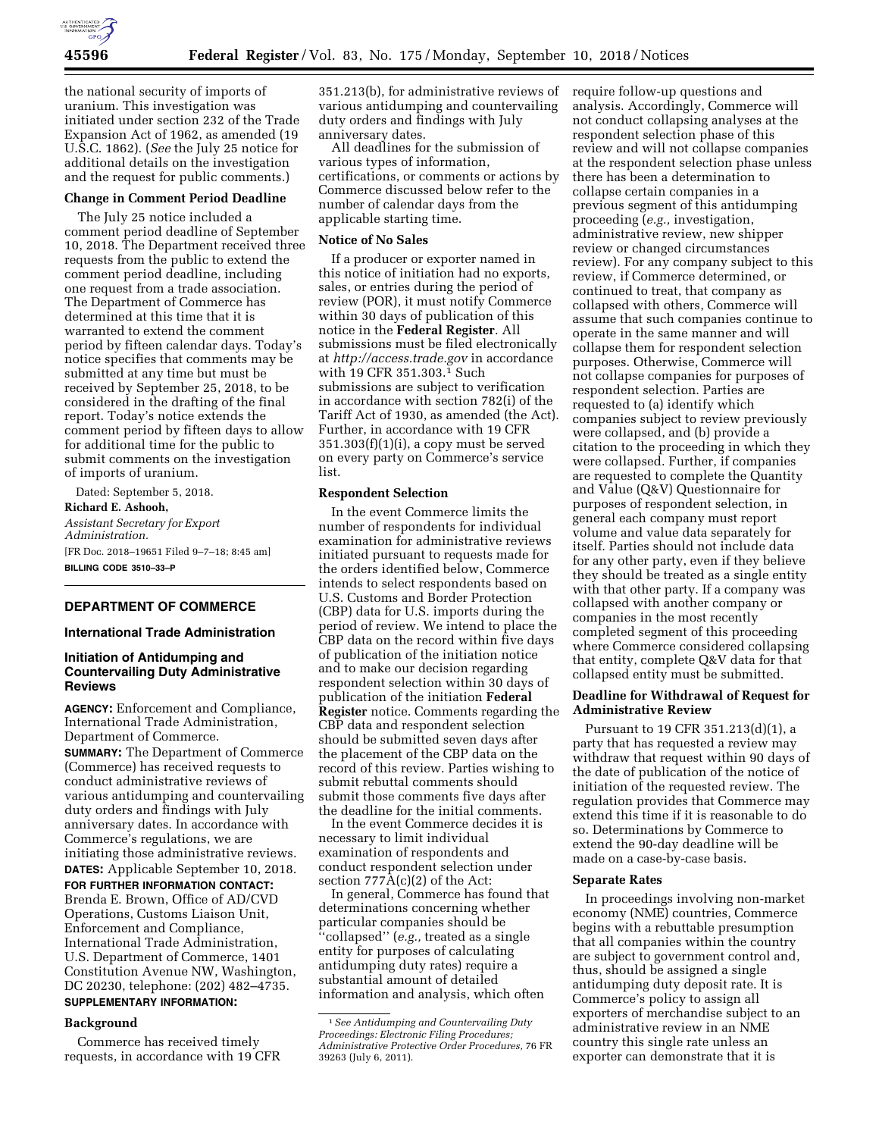

the national security of imports of uranium. This investigation was initiated under section 232 of the Trade Expansion Act of 1962, as amended (19 U.S.C. 1862). (*See* the July 25 notice for additional details on the investigation and the request for public comments.)

## **Change in Comment Period Deadline**

The July 25 notice included a comment period deadline of September 10, 2018. The Department received three requests from the public to extend the comment period deadline, including one request from a trade association. The Department of Commerce has determined at this time that it is warranted to extend the comment period by fifteen calendar days. Today's notice specifies that comments may be submitted at any time but must be received by September 25, 2018, to be considered in the drafting of the final report. Today's notice extends the comment period by fifteen days to allow for additional time for the public to submit comments on the investigation of imports of uranium.

Dated: September 5, 2018. **Richard E. Ashooh,**  *Assistant Secretary for Export Administration.*  [FR Doc. 2018–19651 Filed 9–7–18; 8:45 am] **BILLING CODE 3510–33–P** 

# **DEPARTMENT OF COMMERCE**

# **International Trade Administration**

# **Initiation of Antidumping and Countervailing Duty Administrative Reviews**

**AGENCY:** Enforcement and Compliance, International Trade Administration, Department of Commerce.

**SUMMARY:** The Department of Commerce (Commerce) has received requests to conduct administrative reviews of various antidumping and countervailing duty orders and findings with July anniversary dates. In accordance with Commerce's regulations, we are initiating those administrative reviews. **DATES:** Applicable September 10, 2018. **FOR FURTHER INFORMATION CONTACT:**  Brenda E. Brown, Office of AD/CVD Operations, Customs Liaison Unit, Enforcement and Compliance, International Trade Administration,

U.S. Department of Commerce, 1401 Constitution Avenue NW, Washington, DC 20230, telephone: (202) 482–4735. **SUPPLEMENTARY INFORMATION:** 

# **Background**

Commerce has received timely requests, in accordance with 19 CFR

351.213(b), for administrative reviews of various antidumping and countervailing duty orders and findings with July anniversary dates.

All deadlines for the submission of various types of information, certifications, or comments or actions by Commerce discussed below refer to the number of calendar days from the applicable starting time.

## **Notice of No Sales**

If a producer or exporter named in this notice of initiation had no exports, sales, or entries during the period of review (POR), it must notify Commerce within 30 days of publication of this notice in the **Federal Register**. All submissions must be filed electronically at *<http://access.trade.gov>*in accordance with 19 CFR 351.303.1 Such submissions are subject to verification in accordance with section 782(i) of the Tariff Act of 1930, as amended (the Act). Further, in accordance with 19 CFR  $351.303(f)(1)(i)$ , a copy must be served on every party on Commerce's service list.

## **Respondent Selection**

In the event Commerce limits the number of respondents for individual examination for administrative reviews initiated pursuant to requests made for the orders identified below, Commerce intends to select respondents based on U.S. Customs and Border Protection (CBP) data for U.S. imports during the period of review. We intend to place the CBP data on the record within five days of publication of the initiation notice and to make our decision regarding respondent selection within 30 days of publication of the initiation **Federal Register** notice. Comments regarding the CBP data and respondent selection should be submitted seven days after the placement of the CBP data on the record of this review. Parties wishing to submit rebuttal comments should submit those comments five days after the deadline for the initial comments.

In the event Commerce decides it is necessary to limit individual examination of respondents and conduct respondent selection under section 777A(c)(2) of the Act:

In general, Commerce has found that determinations concerning whether particular companies should be ''collapsed'' (*e.g.,* treated as a single entity for purposes of calculating antidumping duty rates) require a substantial amount of detailed information and analysis, which often

require follow-up questions and analysis. Accordingly, Commerce will not conduct collapsing analyses at the respondent selection phase of this review and will not collapse companies at the respondent selection phase unless there has been a determination to collapse certain companies in a previous segment of this antidumping proceeding (*e.g.,* investigation, administrative review, new shipper review or changed circumstances review). For any company subject to this review, if Commerce determined, or continued to treat, that company as collapsed with others, Commerce will assume that such companies continue to operate in the same manner and will collapse them for respondent selection purposes. Otherwise, Commerce will not collapse companies for purposes of respondent selection. Parties are requested to (a) identify which companies subject to review previously were collapsed, and (b) provide a citation to the proceeding in which they were collapsed. Further, if companies are requested to complete the Quantity and Value (Q&V) Questionnaire for purposes of respondent selection, in general each company must report volume and value data separately for itself. Parties should not include data for any other party, even if they believe they should be treated as a single entity with that other party. If a company was collapsed with another company or companies in the most recently completed segment of this proceeding where Commerce considered collapsing that entity, complete Q&V data for that collapsed entity must be submitted.

# **Deadline for Withdrawal of Request for Administrative Review**

Pursuant to 19 CFR 351.213(d)(1), a party that has requested a review may withdraw that request within 90 days of the date of publication of the notice of initiation of the requested review. The regulation provides that Commerce may extend this time if it is reasonable to do so. Determinations by Commerce to extend the 90-day deadline will be made on a case-by-case basis.

#### **Separate Rates**

In proceedings involving non-market economy (NME) countries, Commerce begins with a rebuttable presumption that all companies within the country are subject to government control and, thus, should be assigned a single antidumping duty deposit rate. It is Commerce's policy to assign all exporters of merchandise subject to an administrative review in an NME country this single rate unless an exporter can demonstrate that it is

<sup>1</sup>*See Antidumping and Countervailing Duty Proceedings: Electronic Filing Procedures; Administrative Protective Order Procedures,* 76 FR 39263 (July 6, 2011).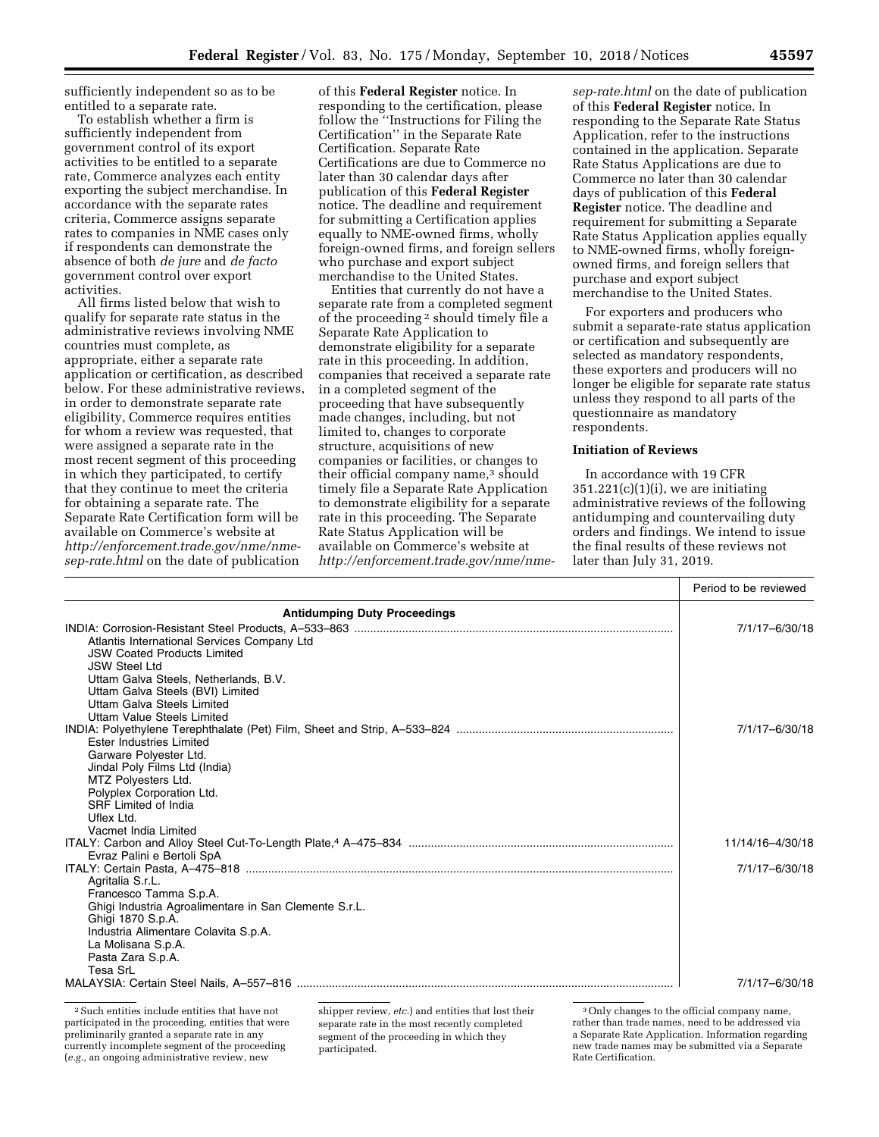sufficiently independent so as to be entitled to a separate rate.

To establish whether a firm is sufficiently independent from government control of its export activities to be entitled to a separate rate, Commerce analyzes each entity exporting the subject merchandise. In accordance with the separate rates criteria, Commerce assigns separate rates to companies in NME cases only if respondents can demonstrate the absence of both *de jure* and *de facto*  government control over export activities.

All firms listed below that wish to qualify for separate rate status in the administrative reviews involving NME countries must complete, as appropriate, either a separate rate application or certification, as described below. For these administrative reviews, in order to demonstrate separate rate eligibility, Commerce requires entities for whom a review was requested, that were assigned a separate rate in the most recent segment of this proceeding in which they participated, to certify that they continue to meet the criteria for obtaining a separate rate. The Separate Rate Certification form will be available on Commerce's website at *[http://enforcement.trade.gov/nme/nme](http://enforcement.trade.gov/nme/nme-sep-rate.html)[sep-rate.html](http://enforcement.trade.gov/nme/nme-sep-rate.html)* on the date of publication

of this **Federal Register** notice. In responding to the certification, please follow the ''Instructions for Filing the Certification'' in the Separate Rate Certification. Separate Rate Certifications are due to Commerce no later than 30 calendar days after publication of this **Federal Register**  notice. The deadline and requirement for submitting a Certification applies equally to NME-owned firms, wholly foreign-owned firms, and foreign sellers who purchase and export subject merchandise to the United States.

Entities that currently do not have a separate rate from a completed segment of the proceeding 2 should timely file a Separate Rate Application to demonstrate eligibility for a separate rate in this proceeding. In addition, companies that received a separate rate in a completed segment of the proceeding that have subsequently made changes, including, but not limited to, changes to corporate structure, acquisitions of new companies or facilities, or changes to their official company name,<sup>3</sup> should timely file a Separate Rate Application to demonstrate eligibility for a separate rate in this proceeding. The Separate Rate Status Application will be available on Commerce's website at *[http://enforcement.trade.gov/nme/nme-](http://enforcement.trade.gov/nme/nme-sep-rate.html)*

*[sep-rate.html](http://enforcement.trade.gov/nme/nme-sep-rate.html)* on the date of publication of this **Federal Register** notice. In responding to the Separate Rate Status Application, refer to the instructions contained in the application. Separate Rate Status Applications are due to Commerce no later than 30 calendar days of publication of this **Federal Register** notice. The deadline and requirement for submitting a Separate Rate Status Application applies equally to NME-owned firms, wholly foreignowned firms, and foreign sellers that purchase and export subject merchandise to the United States.

For exporters and producers who submit a separate-rate status application or certification and subsequently are selected as mandatory respondents, these exporters and producers will no longer be eligible for separate rate status unless they respond to all parts of the questionnaire as mandatory respondents.

# **Initiation of Reviews**

In accordance with 19 CFR  $351.221(c)(1)(i)$ , we are initiating administrative reviews of the following antidumping and countervailing duty orders and findings. We intend to issue the final results of these reviews not later than July 31, 2019.

|                                                                                                                                                                                                              | Period to be reviewed |
|--------------------------------------------------------------------------------------------------------------------------------------------------------------------------------------------------------------|-----------------------|
| <b>Antidumping Duty Proceedings</b>                                                                                                                                                                          |                       |
| Atlantis International Services Company Ltd<br><b>JSW Coated Products Limited</b><br><b>JSW Steel Ltd</b>                                                                                                    | 7/1/17-6/30/18        |
| Uttam Galva Steels, Netherlands, B.V.<br>Uttam Galva Steels (BVI) Limited<br>Uttam Galva Steels Limited<br>Uttam Value Steels Limited                                                                        |                       |
| Ester Industries Limited<br>Garware Polyester Ltd.<br>Jindal Poly Films Ltd (India)<br>MTZ Polyesters Ltd.<br>Polyplex Corporation Ltd.<br><b>SRF</b> Limited of India<br>Uflex Ltd.<br>Vacmet India Limited | 7/1/17-6/30/18        |
|                                                                                                                                                                                                              | 11/14/16-4/30/18      |
| Evraz Palini e Bertoli SpA<br>Agritalia S.r.L.<br>Francesco Tamma S.p.A.<br>Ghigi Industria Agroalimentare in San Clemente S.r.L.<br>Ghigi 1870 S.p.A.                                                       | 7/1/17-6/30/18        |
| Industria Alimentare Colavita S.p.A.<br>La Molisana S.p.A.<br>Pasta Zara S.p.A.<br>Tesa SrL                                                                                                                  |                       |
|                                                                                                                                                                                                              | 7/1/17-6/30/18        |

2Such entities include entities that have not participated in the proceeding, entities that were preliminarily granted a separate rate in any currently incomplete segment of the proceeding (*e.g.,* an ongoing administrative review, new

shipper review, *etc.*) and entities that lost their separate rate in the most recently completed segment of the proceeding in which they participated.

<sup>3</sup>Only changes to the official company name, rather than trade names, need to be addressed via a Separate Rate Application. Information regarding new trade names may be submitted via a Separate Rate Certification.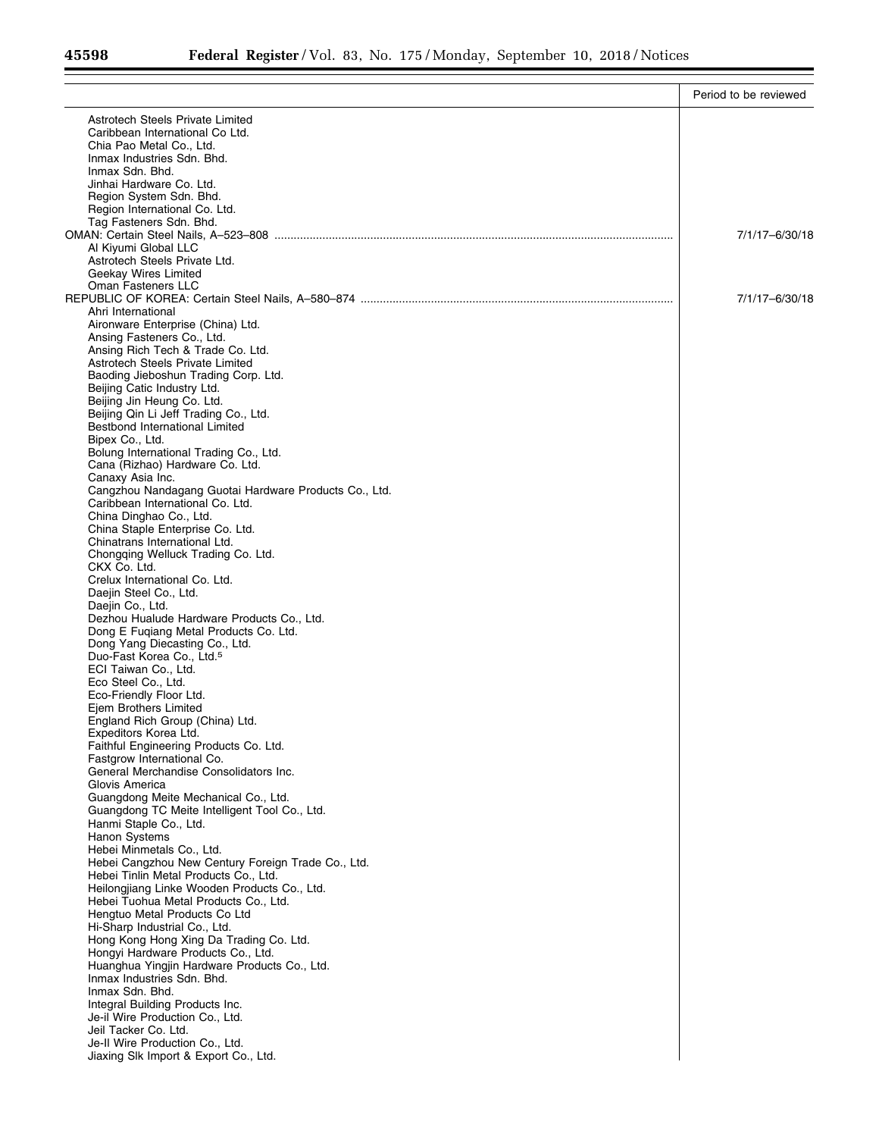Ξ

|                                                                                           | Period to be reviewed |
|-------------------------------------------------------------------------------------------|-----------------------|
| Astrotech Steels Private Limited                                                          |                       |
| Caribbean International Co Ltd.                                                           |                       |
| Chia Pao Metal Co., Ltd.                                                                  |                       |
| Inmax Industries Sdn. Bhd.<br>Inmax Sdn. Bhd.                                             |                       |
| Jinhai Hardware Co. Ltd.                                                                  |                       |
| Region System Sdn. Bhd.                                                                   |                       |
| Region International Co. Ltd.                                                             |                       |
| Tag Fasteners Sdn. Bhd.                                                                   | 7/1/17-6/30/18        |
| Al Kiyumi Global LLC                                                                      |                       |
| Astrotech Steels Private Ltd.                                                             |                       |
| Geekay Wires Limited                                                                      |                       |
| <b>Oman Fasteners LLC</b>                                                                 | 7/1/17-6/30/18        |
| Ahri International                                                                        |                       |
| Aironware Enterprise (China) Ltd.                                                         |                       |
| Ansing Fasteners Co., Ltd.                                                                |                       |
| Ansing Rich Tech & Trade Co. Ltd.                                                         |                       |
| Astrotech Steels Private Limited<br>Baoding Jieboshun Trading Corp. Ltd.                  |                       |
| Beijing Catic Industry Ltd.                                                               |                       |
| Beijing Jin Heung Co. Ltd.                                                                |                       |
| Beijing Qin Li Jeff Trading Co., Ltd.                                                     |                       |
| Bestbond International Limited<br>Bipex Co., Ltd.                                         |                       |
| Bolung International Trading Co., Ltd.                                                    |                       |
| Cana (Rizhao) Hardware Co. Ltd.                                                           |                       |
| Canaxy Asia Inc.                                                                          |                       |
| Cangzhou Nandagang Guotai Hardware Products Co., Ltd.<br>Caribbean International Co. Ltd. |                       |
| China Dinghao Co., Ltd.                                                                   |                       |
| China Staple Enterprise Co. Ltd.                                                          |                       |
| Chinatrans International Ltd.                                                             |                       |
| Chongqing Welluck Trading Co. Ltd.<br>CKX Co. Ltd.                                        |                       |
| Crelux International Co. Ltd.                                                             |                       |
| Daejin Steel Co., Ltd.                                                                    |                       |
| Daejin Co., Ltd.                                                                          |                       |
| Dezhou Hualude Hardware Products Co., Ltd.                                                |                       |
| Dong E Fuqiang Metal Products Co. Ltd.<br>Dong Yang Diecasting Co., Ltd.                  |                       |
| Duo-Fast Korea Co., Ltd. <sup>5</sup>                                                     |                       |
| ECI Taiwan Co., Ltd.                                                                      |                       |
| Eco Steel Co., Ltd.                                                                       |                       |
| Eco-Friendly Floor Ltd.<br>Ejem Brothers Limited                                          |                       |
| England Rich Group (China) Ltd.                                                           |                       |
| Expeditors Korea Ltd.                                                                     |                       |
| Faithful Engineering Products Co. Ltd.                                                    |                       |
| Fastgrow International Co.<br>General Merchandise Consolidators Inc.                      |                       |
| Glovis America                                                                            |                       |
| Guangdong Meite Mechanical Co., Ltd.                                                      |                       |
| Guangdong TC Meite Intelligent Tool Co., Ltd.                                             |                       |
| Hanmi Staple Co., Ltd.                                                                    |                       |
| Hanon Systems<br>Hebei Minmetals Co., Ltd.                                                |                       |
| Hebei Cangzhou New Century Foreign Trade Co., Ltd.                                        |                       |
| Hebei Tinlin Metal Products Co., Ltd.                                                     |                       |
| Heilongjiang Linke Wooden Products Co., Ltd.                                              |                       |
| Hebei Tuohua Metal Products Co., Ltd.<br>Hengtuo Metal Products Co Ltd                    |                       |
| Hi-Sharp Industrial Co., Ltd.                                                             |                       |
| Hong Kong Hong Xing Da Trading Co. Ltd.                                                   |                       |
| Hongyi Hardware Products Co., Ltd.                                                        |                       |
| Huanghua Yingjin Hardware Products Co., Ltd.<br>Inmax Industries Sdn. Bhd.                |                       |
| Inmax Sdn. Bhd.                                                                           |                       |
| Integral Building Products Inc.                                                           |                       |
| Je-il Wire Production Co., Ltd.                                                           |                       |
| Jeil Tacker Co. Ltd.                                                                      |                       |
| Je-II Wire Production Co., Ltd.<br>Jiaxing Slk Import & Export Co., Ltd.                  |                       |
|                                                                                           |                       |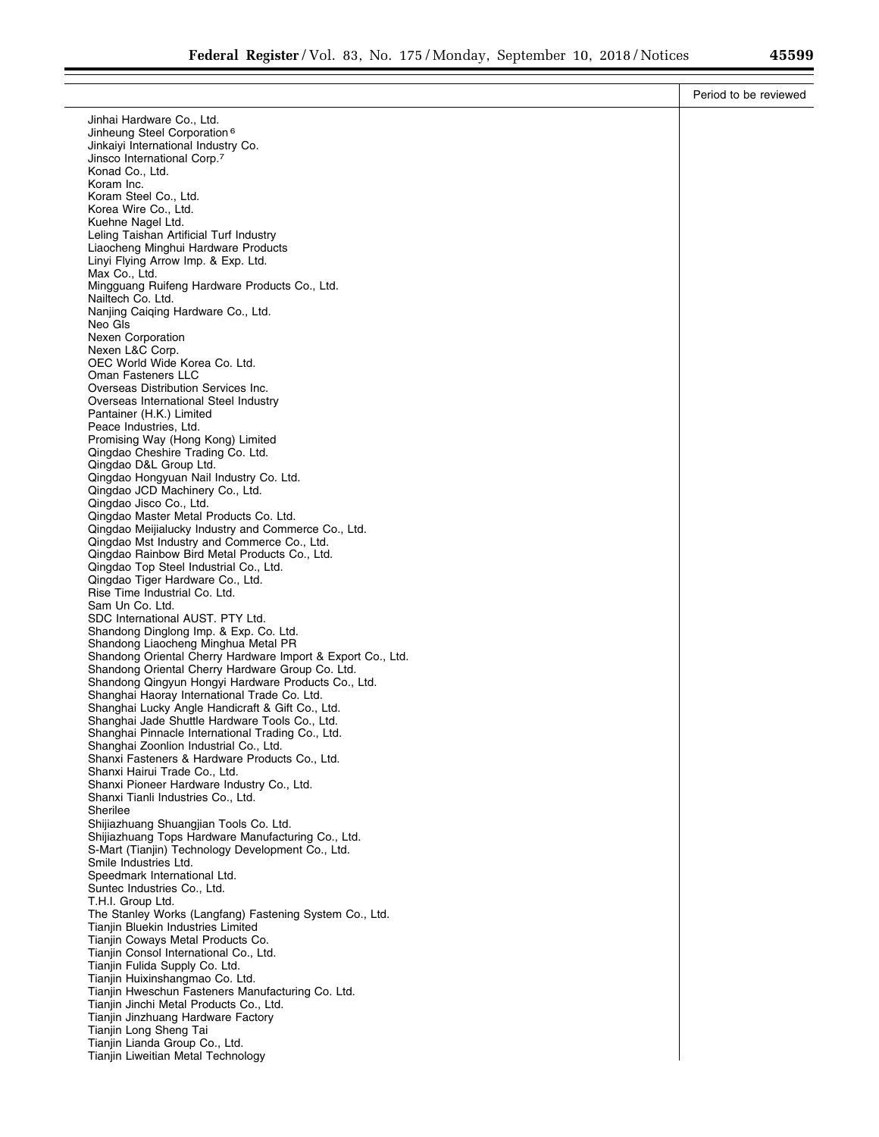|                                                                                                     | Period to be reviewed |
|-----------------------------------------------------------------------------------------------------|-----------------------|
| Jinhai Hardware Co., Ltd.                                                                           |                       |
| Jinheung Steel Corporation <sup>6</sup>                                                             |                       |
| Jinkaiyi International Industry Co.                                                                 |                       |
| Jinsco International Corp. <sup>7</sup><br>Konad Co., Ltd.                                          |                       |
| Koram Inc.                                                                                          |                       |
| Koram Steel Co., Ltd.                                                                               |                       |
| Korea Wire Co., Ltd.                                                                                |                       |
| Kuehne Nagel Ltd.                                                                                   |                       |
| Leling Taishan Artificial Turf Industry<br>Liaocheng Minghui Hardware Products                      |                       |
| Linyi Flying Arrow Imp. & Exp. Ltd.                                                                 |                       |
| Max Co., Ltd.                                                                                       |                       |
| Mingguang Ruifeng Hardware Products Co., Ltd.                                                       |                       |
| Nailtech Co. Ltd.<br>Nanjing Caiging Hardware Co., Ltd.                                             |                       |
| Neo Gls                                                                                             |                       |
| <b>Nexen Corporation</b>                                                                            |                       |
| Nexen L&C Corp.                                                                                     |                       |
| OEC World Wide Korea Co. Ltd.<br><b>Oman Fasteners LLC</b>                                          |                       |
| Overseas Distribution Services Inc.                                                                 |                       |
| Overseas International Steel Industry                                                               |                       |
| Pantainer (H.K.) Limited                                                                            |                       |
| Peace Industries, Ltd.<br>Promising Way (Hong Kong) Limited                                         |                       |
| Qingdao Cheshire Trading Co. Ltd.                                                                   |                       |
| Qingdao D&L Group Ltd.                                                                              |                       |
| Qingdao Hongyuan Nail Industry Co. Ltd.                                                             |                       |
| Qingdao JCD Machinery Co., Ltd.<br>Qingdao Jisco Co., Ltd.                                          |                       |
| Qingdao Master Metal Products Co. Ltd.                                                              |                       |
| Qingdao Meijialucky Industry and Commerce Co., Ltd.                                                 |                       |
| Qingdao Mst Industry and Commerce Co., Ltd.                                                         |                       |
| Qingdao Rainbow Bird Metal Products Co., Ltd.<br>Qingdao Top Steel Industrial Co., Ltd.             |                       |
| Qingdao Tiger Hardware Co., Ltd.                                                                    |                       |
| Rise Time Industrial Co. Ltd.                                                                       |                       |
| Sam Un Co. Ltd.                                                                                     |                       |
| SDC International AUST. PTY Ltd.<br>Shandong Dinglong Imp. & Exp. Co. Ltd.                          |                       |
| Shandong Liaocheng Minghua Metal PR                                                                 |                       |
| Shandong Oriental Cherry Hardware Import & Export Co., Ltd.                                         |                       |
| Shandong Oriental Cherry Hardware Group Co. Ltd.                                                    |                       |
| Shandong Qingyun Hongyi Hardware Products Co., Ltd.<br>Shanghai Haoray International Trade Co. Ltd. |                       |
| Shanghai Lucky Angle Handicraft & Gift Co., Ltd.                                                    |                       |
| Shanghai Jade Shuttle Hardware Tools Co., Ltd.                                                      |                       |
| Shanghai Pinnacle International Trading Co., Ltd.                                                   |                       |
| Shanghai Zoonlion Industrial Co., Ltd.<br>Shanxi Fasteners & Hardware Products Co., Ltd.            |                       |
| Shanxi Hairui Trade Co., Ltd.                                                                       |                       |
| Shanxi Pioneer Hardware Industry Co., Ltd.                                                          |                       |
| Shanxi Tianli Industries Co., Ltd.                                                                  |                       |
| Sherilee                                                                                            |                       |
| Shijiazhuang Shuangjian Tools Co. Ltd.<br>Shijiazhuang Tops Hardware Manufacturing Co., Ltd.        |                       |
| S-Mart (Tianjin) Technology Development Co., Ltd.                                                   |                       |
| Smile Industries Ltd.                                                                               |                       |
| Speedmark International Ltd.<br>Suntec Industries Co., Ltd.                                         |                       |
| T.H.I. Group Ltd.                                                                                   |                       |
| The Stanley Works (Langfang) Fastening System Co., Ltd.                                             |                       |
| Tianjin Bluekin Industries Limited                                                                  |                       |
| Tianjin Coways Metal Products Co.                                                                   |                       |
| Tianjin Consol International Co., Ltd.<br>Tianjin Fulida Supply Co. Ltd.                            |                       |
| Tianjin Huixinshangmao Co. Ltd.                                                                     |                       |
| Tianjin Hweschun Fasteners Manufacturing Co. Ltd.                                                   |                       |
| Tianjin Jinchi Metal Products Co., Ltd.                                                             |                       |
| Tianjin Jinzhuang Hardware Factory<br>Tianjin Long Sheng Tai                                        |                       |
| Tianjin Lianda Group Co., Ltd.                                                                      |                       |
| Tianjin Liweitian Metal Technology                                                                  |                       |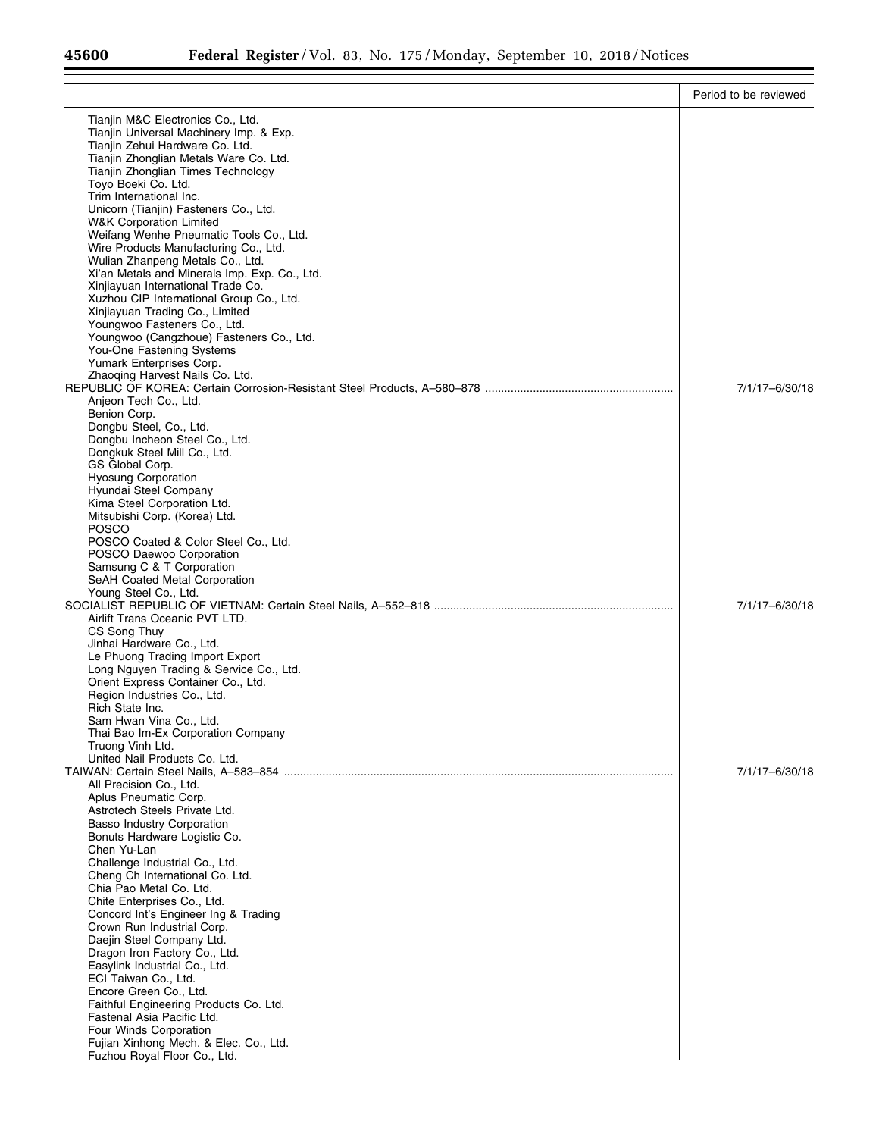|                                                                                | Period to be reviewed |
|--------------------------------------------------------------------------------|-----------------------|
| Tianjin M&C Electronics Co., Ltd.                                              |                       |
| Tianjin Universal Machinery Imp. & Exp.                                        |                       |
| Tianjin Zehui Hardware Co. Ltd.                                                |                       |
| Tianjin Zhonglian Metals Ware Co. Ltd.<br>Tianjin Zhonglian Times Technology   |                       |
| Toyo Boeki Co. Ltd.                                                            |                       |
| Trim International Inc.                                                        |                       |
| Unicorn (Tianjin) Fasteners Co., Ltd.                                          |                       |
| <b>W&amp;K Corporation Limited</b><br>Weifang Wenhe Pneumatic Tools Co., Ltd.  |                       |
| Wire Products Manufacturing Co., Ltd.                                          |                       |
| Wulian Zhanpeng Metals Co., Ltd.                                               |                       |
| Xi'an Metals and Minerals Imp. Exp. Co., Ltd.                                  |                       |
| Xinjiayuan International Trade Co.<br>Xuzhou CIP International Group Co., Ltd. |                       |
| Xinjiayuan Trading Co., Limited                                                |                       |
| Youngwoo Fasteners Co., Ltd.                                                   |                       |
| Youngwoo (Cangzhoue) Fasteners Co., Ltd.                                       |                       |
| You-One Fastening Systems<br>Yumark Enterprises Corp.                          |                       |
| Zhaoging Harvest Nails Co. Ltd.                                                |                       |
|                                                                                | 7/1/17-6/30/18        |
| Anjeon Tech Co., Ltd.                                                          |                       |
| Benion Corp.<br>Dongbu Steel, Co., Ltd.                                        |                       |
| Dongbu Incheon Steel Co., Ltd.                                                 |                       |
| Dongkuk Steel Mill Co., Ltd.                                                   |                       |
| GS Global Corp.                                                                |                       |
| <b>Hyosung Corporation</b>                                                     |                       |
| Hyundai Steel Company<br>Kima Steel Corporation Ltd.                           |                       |
| Mitsubishi Corp. (Korea) Ltd.                                                  |                       |
| <b>POSCO</b>                                                                   |                       |
| POSCO Coated & Color Steel Co., Ltd.                                           |                       |
| POSCO Daewoo Corporation<br>Samsung C & T Corporation                          |                       |
| SeAH Coated Metal Corporation                                                  |                       |
| Young Steel Co., Ltd.                                                          |                       |
|                                                                                | 7/1/17-6/30/18        |
| Airlift Trans Oceanic PVT LTD.<br>CS Song Thuy                                 |                       |
| Jinhai Hardware Co., Ltd.                                                      |                       |
| Le Phuong Trading Import Export                                                |                       |
| Long Nguyen Trading & Service Co., Ltd.                                        |                       |
| Orient Express Container Co., Ltd.<br>Region Industries Co., Ltd.              |                       |
| Rich State Inc.                                                                |                       |
| Sam Hwan Vina Co., Ltd.                                                        |                       |
| Thai Bao Im-Ex Corporation Company                                             |                       |
| Truong Vinh Ltd.<br>United Nail Products Co. Ltd.                              |                       |
|                                                                                | 7/1/17-6/30/18        |
| All Precision Co., Ltd.                                                        |                       |
| Aplus Pneumatic Corp.                                                          |                       |
| Astrotech Steels Private Ltd.<br><b>Basso Industry Corporation</b>             |                       |
| Bonuts Hardware Logistic Co.                                                   |                       |
| Chen Yu-Lan                                                                    |                       |
| Challenge Industrial Co., Ltd.                                                 |                       |
| Cheng Ch International Co. Ltd.<br>Chia Pao Metal Co. Ltd.                     |                       |
| Chite Enterprises Co., Ltd.                                                    |                       |
| Concord Int's Engineer Ing & Trading                                           |                       |
| Crown Run Industrial Corp.                                                     |                       |
| Daejin Steel Company Ltd.<br>Dragon Iron Factory Co., Ltd.                     |                       |
| Easylink Industrial Co., Ltd.                                                  |                       |
| ECI Taiwan Co., Ltd.                                                           |                       |
| Encore Green Co., Ltd.                                                         |                       |
| Faithful Engineering Products Co. Ltd.<br>Fastenal Asia Pacific Ltd.           |                       |
| Four Winds Corporation                                                         |                       |
| Fujian Xinhong Mech. & Elec. Co., Ltd.                                         |                       |
| Fuzhou Royal Floor Co., Ltd.                                                   |                       |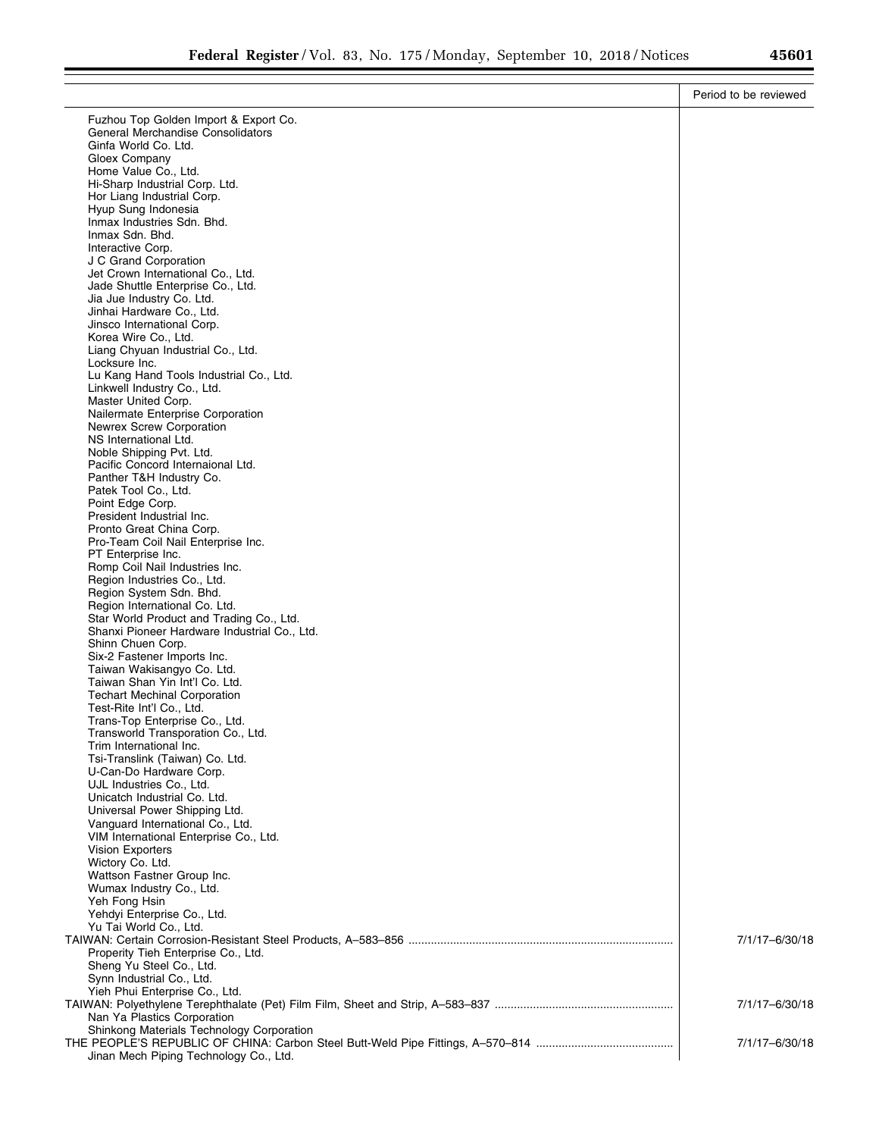| Fuzhou Top Golden Import & Export Co.<br>General Merchandise Consolidators<br>Ginfa World Co. Ltd.<br>Gloex Company<br>Home Value Co., Ltd. |                |
|---------------------------------------------------------------------------------------------------------------------------------------------|----------------|
|                                                                                                                                             |                |
|                                                                                                                                             |                |
|                                                                                                                                             |                |
|                                                                                                                                             |                |
| Hi-Sharp Industrial Corp. Ltd.                                                                                                              |                |
| Hor Liang Industrial Corp.                                                                                                                  |                |
| Hyup Sung Indonesia                                                                                                                         |                |
| Inmax Industries Sdn. Bhd.                                                                                                                  |                |
| Inmax Sdn. Bhd.<br>Interactive Corp.                                                                                                        |                |
| J C Grand Corporation                                                                                                                       |                |
| Jet Crown International Co., Ltd.                                                                                                           |                |
| Jade Shuttle Enterprise Co., Ltd.                                                                                                           |                |
| Jia Jue Industry Co. Ltd.<br>Jinhai Hardware Co., Ltd.                                                                                      |                |
| Jinsco International Corp.                                                                                                                  |                |
| Korea Wire Co., Ltd.                                                                                                                        |                |
| Liang Chyuan Industrial Co., Ltd.                                                                                                           |                |
| Locksure Inc.<br>Lu Kang Hand Tools Industrial Co., Ltd.                                                                                    |                |
| Linkwell Industry Co., Ltd.                                                                                                                 |                |
| Master United Corp.                                                                                                                         |                |
| Nailermate Enterprise Corporation                                                                                                           |                |
| Newrex Screw Corporation<br>NS International Ltd.                                                                                           |                |
| Noble Shipping Pvt. Ltd.                                                                                                                    |                |
| Pacific Concord Internaional Ltd.                                                                                                           |                |
| Panther T&H Industry Co.                                                                                                                    |                |
| Patek Tool Co., Ltd.<br>Point Edge Corp.                                                                                                    |                |
| President Industrial Inc.                                                                                                                   |                |
| Pronto Great China Corp.                                                                                                                    |                |
| Pro-Team Coil Nail Enterprise Inc.                                                                                                          |                |
| PT Enterprise Inc.<br>Romp Coil Nail Industries Inc.                                                                                        |                |
| Region Industries Co., Ltd.                                                                                                                 |                |
| Region System Sdn. Bhd.                                                                                                                     |                |
| Region International Co. Ltd.                                                                                                               |                |
| Star World Product and Trading Co., Ltd.                                                                                                    |                |
| Shanxi Pioneer Hardware Industrial Co., Ltd.<br>Shinn Chuen Corp.                                                                           |                |
| Six-2 Fastener Imports Inc.                                                                                                                 |                |
| Taiwan Wakisangyo Co. Ltd.                                                                                                                  |                |
| Taiwan Shan Yin Int'l Co. Ltd.                                                                                                              |                |
| <b>Techart Mechinal Corporation</b><br>Test-Rite Int'l Co., Ltd.                                                                            |                |
| Trans-Top Enterprise Co., Ltd.                                                                                                              |                |
| Transworld Transporation Co., Ltd.                                                                                                          |                |
| Trim International Inc.                                                                                                                     |                |
| Tsi-Translink (Taiwan) Co. Ltd.<br>U-Can-Do Hardware Corp.                                                                                  |                |
| UJL Industries Co., Ltd.                                                                                                                    |                |
| Unicatch Industrial Co. Ltd.                                                                                                                |                |
| Universal Power Shipping Ltd.                                                                                                               |                |
| Vanguard International Co., Ltd.<br>VIM International Enterprise Co., Ltd.                                                                  |                |
| <b>Vision Exporters</b>                                                                                                                     |                |
| Wictory Co. Ltd.                                                                                                                            |                |
| Wattson Fastner Group Inc.                                                                                                                  |                |
| Wumax Industry Co., Ltd.<br>Yeh Fong Hsin                                                                                                   |                |
| Yehdyi Enterprise Co., Ltd.                                                                                                                 |                |
| Yu Tai World Co., Ltd.                                                                                                                      |                |
|                                                                                                                                             | 7/1/17-6/30/18 |
| Properity Tieh Enterprise Co., Ltd.                                                                                                         |                |
| Sheng Yu Steel Co., Ltd.<br>Synn Industrial Co., Ltd.                                                                                       |                |
| Yieh Phui Enterprise Co., Ltd.                                                                                                              |                |
|                                                                                                                                             | 7/1/17-6/30/18 |
| Nan Ya Plastics Corporation                                                                                                                 |                |
| Shinkong Materials Technology Corporation                                                                                                   | 7/1/17-6/30/18 |
| Jinan Mech Piping Technology Co., Ltd.                                                                                                      |                |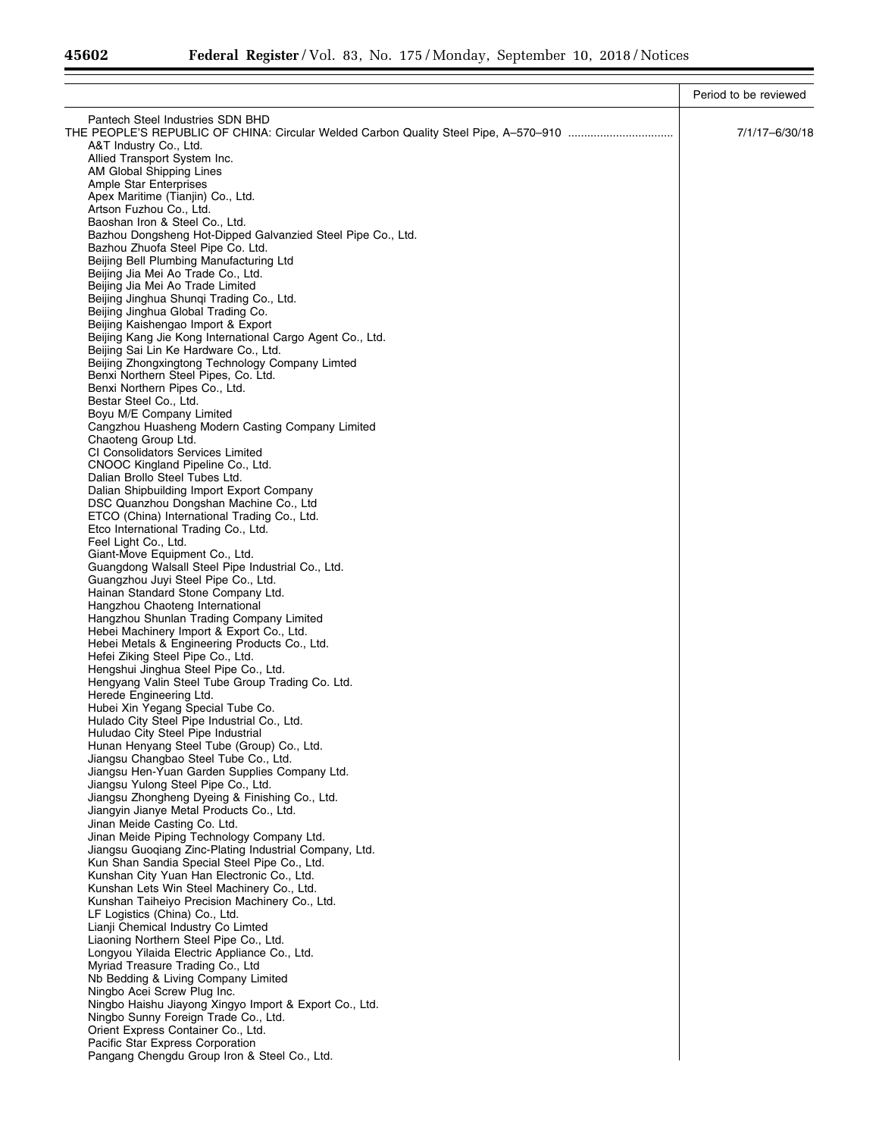|                                                                                                | Period to be reviewed |
|------------------------------------------------------------------------------------------------|-----------------------|
| Pantech Steel Industries SDN BHD                                                               |                       |
|                                                                                                | 7/1/17-6/30/18        |
| A&T Industry Co., Ltd.                                                                         |                       |
| Allied Transport System Inc.                                                                   |                       |
| AM Global Shipping Lines<br>Ample Star Enterprises                                             |                       |
| Apex Maritime (Tianjin) Co., Ltd.                                                              |                       |
| Artson Fuzhou Co., Ltd.                                                                        |                       |
| Baoshan Iron & Steel Co., Ltd.                                                                 |                       |
| Bazhou Dongsheng Hot-Dipped Galvanzied Steel Pipe Co., Ltd.                                    |                       |
| Bazhou Zhuofa Steel Pipe Co. Ltd.                                                              |                       |
| Beijing Bell Plumbing Manufacturing Ltd<br>Beijing Jia Mei Ao Trade Co., Ltd.                  |                       |
| Beijing Jia Mei Ao Trade Limited                                                               |                       |
| Beijing Jinghua Shungi Trading Co., Ltd.                                                       |                       |
| Beijing Jinghua Global Trading Co.                                                             |                       |
| Beijing Kaishengao Import & Export                                                             |                       |
| Beijing Kang Jie Kong International Cargo Agent Co., Ltd.                                      |                       |
| Beijing Sai Lin Ke Hardware Co., Ltd.<br>Beijing Zhongxingtong Technology Company Limted       |                       |
| Benxi Northern Steel Pipes, Co. Ltd.                                                           |                       |
| Benxi Northern Pipes Co., Ltd.                                                                 |                       |
| Bestar Steel Co., Ltd.                                                                         |                       |
| Boyu M/E Company Limited                                                                       |                       |
| Cangzhou Huasheng Modern Casting Company Limited                                               |                       |
| Chaoteng Group Ltd.                                                                            |                       |
| CI Consolidators Services Limited<br>CNOOC Kingland Pipeline Co., Ltd.                         |                       |
| Dalian Brollo Steel Tubes Ltd.                                                                 |                       |
| Dalian Shipbuilding Import Export Company                                                      |                       |
| DSC Quanzhou Dongshan Machine Co., Ltd                                                         |                       |
| ETCO (China) International Trading Co., Ltd.                                                   |                       |
| Etco International Trading Co., Ltd.                                                           |                       |
| Feel Light Co., Ltd.<br>Giant-Move Equipment Co., Ltd.                                         |                       |
| Guangdong Walsall Steel Pipe Industrial Co., Ltd.                                              |                       |
| Guangzhou Juyi Steel Pipe Co., Ltd.                                                            |                       |
| Hainan Standard Stone Company Ltd.                                                             |                       |
| Hangzhou Chaoteng International                                                                |                       |
| Hangzhou Shunlan Trading Company Limited                                                       |                       |
| Hebei Machinery Import & Export Co., Ltd.<br>Hebei Metals & Engineering Products Co., Ltd.     |                       |
| Hefei Ziking Steel Pipe Co., Ltd.                                                              |                       |
| Hengshui Jinghua Steel Pipe Co., Ltd.                                                          |                       |
| Hengyang Valin Steel Tube Group Trading Co. Ltd.                                               |                       |
| Herede Engineering Ltd.                                                                        |                       |
| Hubei Xin Yegang Special Tube Co.<br>Hulado City Steel Pipe Industrial Co., Ltd.               |                       |
| Huludao City Steel Pipe Industrial                                                             |                       |
| Hunan Henyang Steel Tube (Group) Co., Ltd.                                                     |                       |
| Jiangsu Changbao Steel Tube Co., Ltd.                                                          |                       |
| Jiangsu Hen-Yuan Garden Supplies Company Ltd.                                                  |                       |
| Jiangsu Yulong Steel Pipe Co., Ltd.                                                            |                       |
| Jiangsu Zhongheng Dyeing & Finishing Co., Ltd.                                                 |                       |
| Jiangyin Jianye Metal Products Co., Ltd.<br>Jinan Meide Casting Co. Ltd.                       |                       |
| Jinan Meide Piping Technology Company Ltd.                                                     |                       |
| Jiangsu Guoqiang Zinc-Plating Industrial Company, Ltd.                                         |                       |
| Kun Shan Sandia Special Steel Pipe Co., Ltd.                                                   |                       |
| Kunshan City Yuan Han Electronic Co., Ltd.                                                     |                       |
| Kunshan Lets Win Steel Machinery Co., Ltd.                                                     |                       |
| Kunshan Taiheiyo Precision Machinery Co., Ltd.<br>LF Logistics (China) Co., Ltd.               |                       |
| Lianji Chemical Industry Co Limted                                                             |                       |
| Liaoning Northern Steel Pipe Co., Ltd.                                                         |                       |
| Longyou Yilaida Electric Appliance Co., Ltd.                                                   |                       |
| Myriad Treasure Trading Co., Ltd                                                               |                       |
| Nb Bedding & Living Company Limited                                                            |                       |
| Ningbo Acei Screw Plug Inc.                                                                    |                       |
| Ningbo Haishu Jiayong Xingyo Import & Export Co., Ltd.<br>Ningbo Sunny Foreign Trade Co., Ltd. |                       |
| Orient Express Container Co., Ltd.                                                             |                       |
| Pacific Star Express Corporation                                                               |                       |
| Pangang Chengdu Group Iron & Steel Co., Ltd.                                                   |                       |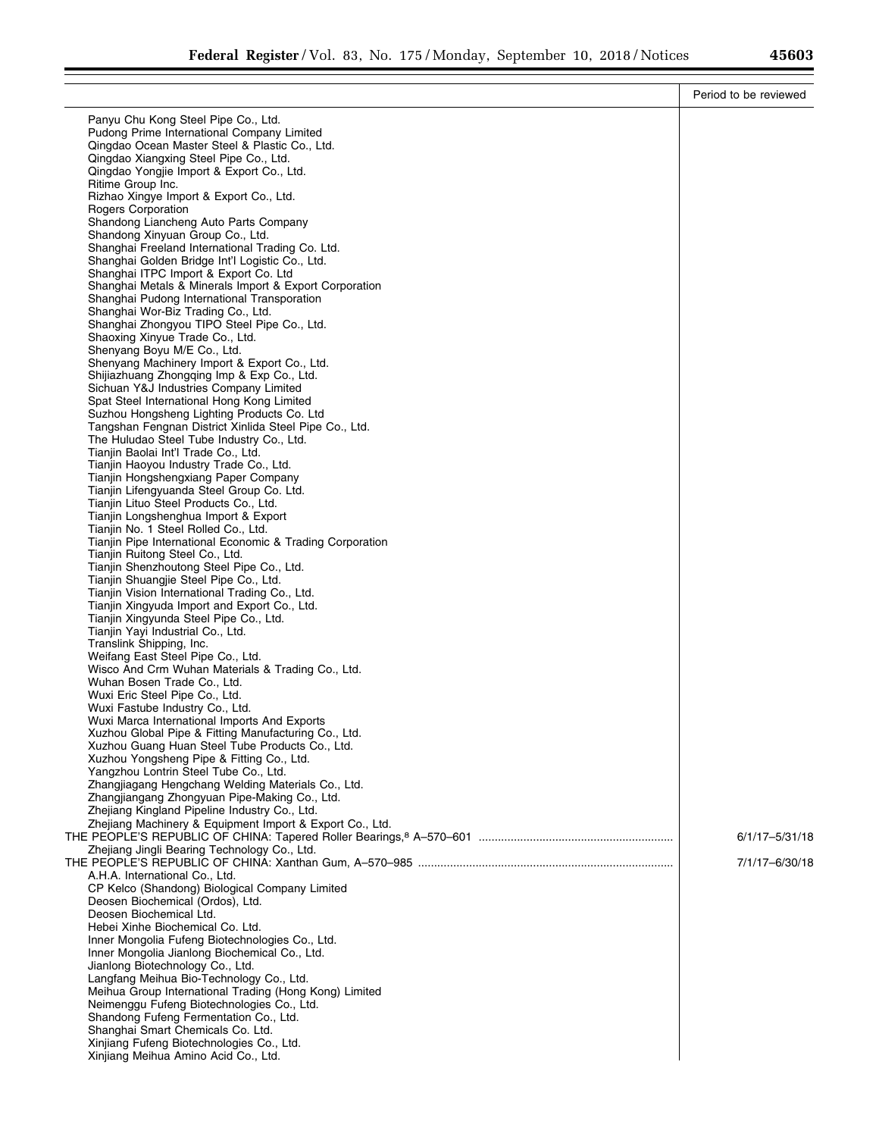۰

|                                                                                                     | Period to be reviewed |
|-----------------------------------------------------------------------------------------------------|-----------------------|
| Panyu Chu Kong Steel Pipe Co., Ltd.                                                                 |                       |
| Pudong Prime International Company Limited                                                          |                       |
| Qingdao Ocean Master Steel & Plastic Co., Ltd.                                                      |                       |
| Qingdao Xiangxing Steel Pipe Co., Ltd.                                                              |                       |
| Qingdao Yongjie Import & Export Co., Ltd.                                                           |                       |
| Ritime Group Inc.<br>Rizhao Xingye Import & Export Co., Ltd.                                        |                       |
| <b>Rogers Corporation</b>                                                                           |                       |
| Shandong Liancheng Auto Parts Company                                                               |                       |
| Shandong Xinyuan Group Co., Ltd.                                                                    |                       |
| Shanghai Freeland International Trading Co. Ltd.                                                    |                       |
| Shanghai Golden Bridge Int'l Logistic Co., Ltd.                                                     |                       |
| Shanghai ITPC Import & Export Co. Ltd<br>Shanghai Metals & Minerals Import & Export Corporation     |                       |
| Shanghai Pudong International Transporation                                                         |                       |
| Shanghai Wor-Biz Trading Co., Ltd.                                                                  |                       |
| Shanghai Zhongyou TIPO Steel Pipe Co., Ltd.                                                         |                       |
| Shaoxing Xinyue Trade Co., Ltd.                                                                     |                       |
| Shenyang Boyu M/E Co., Ltd.<br>Shenyang Machinery Import & Export Co., Ltd.                         |                       |
| Shijiazhuang Zhongqing Imp & Exp Co., Ltd.                                                          |                       |
| Sichuan Y&J Industries Company Limited                                                              |                       |
| Spat Steel International Hong Kong Limited                                                          |                       |
| Suzhou Hongsheng Lighting Products Co. Ltd                                                          |                       |
| Tangshan Fengnan District Xinlida Steel Pipe Co., Ltd.<br>The Huludao Steel Tube Industry Co., Ltd. |                       |
| Tianjin Baolai Int'l Trade Co., Ltd.                                                                |                       |
| Tianjin Haoyou Industry Trade Co., Ltd.                                                             |                       |
| Tianjin Hongshengxiang Paper Company                                                                |                       |
| Tianjin Lifengyuanda Steel Group Co. Ltd.                                                           |                       |
| Tianjin Lituo Steel Products Co., Ltd.                                                              |                       |
| Tianjin Longshenghua Import & Export<br>Tianjin No. 1 Steel Rolled Co., Ltd.                        |                       |
| Tianjin Pipe International Economic & Trading Corporation                                           |                       |
| Tianjin Ruitong Steel Co., Ltd.                                                                     |                       |
| Tianjin Shenzhoutong Steel Pipe Co., Ltd.                                                           |                       |
| Tianjin Shuangjie Steel Pipe Co., Ltd.                                                              |                       |
| Tianjin Vision International Trading Co., Ltd.<br>Tianjin Xingyuda Import and Export Co., Ltd.      |                       |
| Tianjin Xingyunda Steel Pipe Co., Ltd.                                                              |                       |
| Tianjin Yayi Industrial Co., Ltd.                                                                   |                       |
| Translink Shipping, Inc.                                                                            |                       |
| Weifang East Steel Pipe Co., Ltd.                                                                   |                       |
| Wisco And Crm Wuhan Materials & Trading Co., Ltd.<br>Wuhan Bosen Trade Co., Ltd.                    |                       |
| Wuxi Eric Steel Pipe Co., Ltd.                                                                      |                       |
| Wuxi Fastube Industry Co., Ltd.                                                                     |                       |
| Wuxi Marca International Imports And Exports                                                        |                       |
| Xuzhou Global Pipe & Fitting Manufacturing Co., Ltd.                                                |                       |
| Xuzhou Guang Huan Steel Tube Products Co., Ltd.<br>Xuzhou Yongsheng Pipe & Fitting Co., Ltd.        |                       |
| Yangzhou Lontrin Steel Tube Co., Ltd.                                                               |                       |
| Zhangjiagang Hengchang Welding Materials Co., Ltd.                                                  |                       |
| Zhangjiangang Zhongyuan Pipe-Making Co., Ltd.                                                       |                       |
| Zhejiang Kingland Pipeline Industry Co., Ltd.                                                       |                       |
| Zhejiang Machinery & Equipment Import & Export Co., Ltd.                                            |                       |
| Zhejiang Jingli Bearing Technology Co., Ltd.                                                        | 6/1/17-5/31/18        |
|                                                                                                     | 7/1/17-6/30/18        |
| A.H.A. International Co., Ltd.                                                                      |                       |
| CP Kelco (Shandong) Biological Company Limited                                                      |                       |
| Deosen Biochemical (Ordos), Ltd.                                                                    |                       |
| Deosen Biochemical Ltd.<br>Hebei Xinhe Biochemical Co. Ltd.                                         |                       |
| Inner Mongolia Fufeng Biotechnologies Co., Ltd.                                                     |                       |
| Inner Mongolia Jianlong Biochemical Co., Ltd.                                                       |                       |
| Jianlong Biotechnology Co., Ltd.                                                                    |                       |
| Langfang Meihua Bio-Technology Co., Ltd.                                                            |                       |
| Meihua Group International Trading (Hong Kong) Limited                                              |                       |
| Neimenggu Fufeng Biotechnologies Co., Ltd.                                                          |                       |
| Shandong Fufeng Fermentation Co., Ltd.<br>Shanghai Smart Chemicals Co. Ltd.                         |                       |
| Xinjiang Fufeng Biotechnologies Co., Ltd.                                                           |                       |
| Xinjiang Meihua Amino Acid Co., Ltd.                                                                |                       |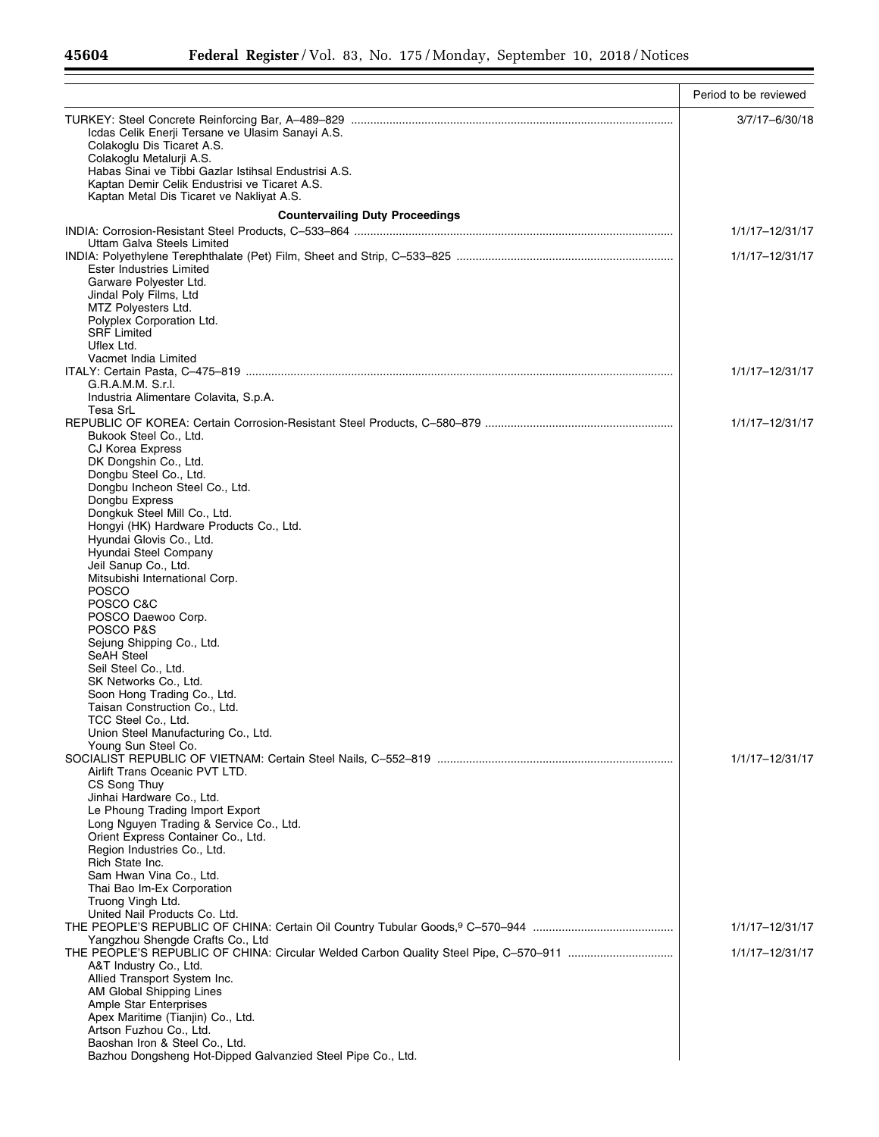|                                                                                                       | Period to be reviewed |
|-------------------------------------------------------------------------------------------------------|-----------------------|
|                                                                                                       | 3/7/17-6/30/18        |
| Icdas Celik Enerji Tersane ve Ulasim Sanayi A.S.<br>Colakoglu Dis Ticaret A.S.                        |                       |
| Colakoglu Metalurji A.S.                                                                              |                       |
| Habas Sinai ve Tibbi Gazlar Istihsal Endustrisi A.S.<br>Kaptan Demir Celik Endustrisi ve Ticaret A.S. |                       |
| Kaptan Metal Dis Ticaret ve Nakliyat A.S.                                                             |                       |
| <b>Countervailing Duty Proceedings</b>                                                                |                       |
|                                                                                                       | 1/1/17-12/31/17       |
| Uttam Galva Steels Limited                                                                            | 1/1/17-12/31/17       |
| Ester Industries Limited                                                                              |                       |
| Garware Polyester Ltd.<br>Jindal Poly Films, Ltd                                                      |                       |
| MTZ Polyesters Ltd.                                                                                   |                       |
| Polyplex Corporation Ltd.<br><b>SRF Limited</b>                                                       |                       |
| Uflex Ltd.                                                                                            |                       |
| Vacmet India Limited                                                                                  |                       |
| G.R.A.M.M. S.r.I.                                                                                     | 1/1/17-12/31/17       |
| Industria Alimentare Colavita, S.p.A.                                                                 |                       |
| Tesa SrL                                                                                              | 1/1/17-12/31/17       |
| Bukook Steel Co., Ltd.                                                                                |                       |
| <b>CJ Korea Express</b><br>DK Dongshin Co., Ltd.                                                      |                       |
| Dongbu Steel Co., Ltd.                                                                                |                       |
| Dongbu Incheon Steel Co., Ltd.                                                                        |                       |
| Dongbu Express<br>Dongkuk Steel Mill Co., Ltd.                                                        |                       |
| Hongyi (HK) Hardware Products Co., Ltd.                                                               |                       |
| Hyundai Glovis Co., Ltd.<br>Hyundai Steel Company                                                     |                       |
| Jeil Sanup Co., Ltd.                                                                                  |                       |
| Mitsubishi International Corp.<br><b>POSCO</b>                                                        |                       |
| POSCO C&C                                                                                             |                       |
| POSCO Daewoo Corp.                                                                                    |                       |
| POSCO P&S<br>Sejung Shipping Co., Ltd.                                                                |                       |
| <b>SeAH Steel</b>                                                                                     |                       |
| Seil Steel Co., Ltd.<br>SK Networks Co., Ltd.                                                         |                       |
| Soon Hong Trading Co., Ltd.                                                                           |                       |
| Taisan Construction Co., Ltd.                                                                         |                       |
| TCC Steel Co., Ltd.<br>Union Steel Manufacturing Co., Ltd.                                            |                       |
| Young Sun Steel Co.                                                                                   |                       |
| Airlift Trans Oceanic PVT LTD.                                                                        | 1/1/17-12/31/17       |
| CS Song Thuy                                                                                          |                       |
| Jinhai Hardware Co., Ltd.<br>Le Phoung Trading Import Export                                          |                       |
| Long Nguyen Trading & Service Co., Ltd.                                                               |                       |
| Orient Express Container Co., Ltd.                                                                    |                       |
| Region Industries Co., Ltd.<br>Rich State Inc.                                                        |                       |
| Sam Hwan Vina Co., Ltd.                                                                               |                       |
| Thai Bao Im-Ex Corporation<br>Truong Vingh Ltd.                                                       |                       |
| United Nail Products Co. Ltd.                                                                         |                       |
|                                                                                                       | 1/1/17-12/31/17       |
| Yangzhou Shengde Crafts Co., Ltd                                                                      | 1/1/17-12/31/17       |
| A&T Industry Co., Ltd.                                                                                |                       |
| Allied Transport System Inc.<br>AM Global Shipping Lines                                              |                       |
| <b>Ample Star Enterprises</b>                                                                         |                       |
| Apex Maritime (Tianjin) Co., Ltd.<br>Artson Fuzhou Co., Ltd.                                          |                       |
| Baoshan Iron & Steel Co., Ltd.                                                                        |                       |
| Bazhou Dongsheng Hot-Dipped Galvanzied Steel Pipe Co., Ltd.                                           |                       |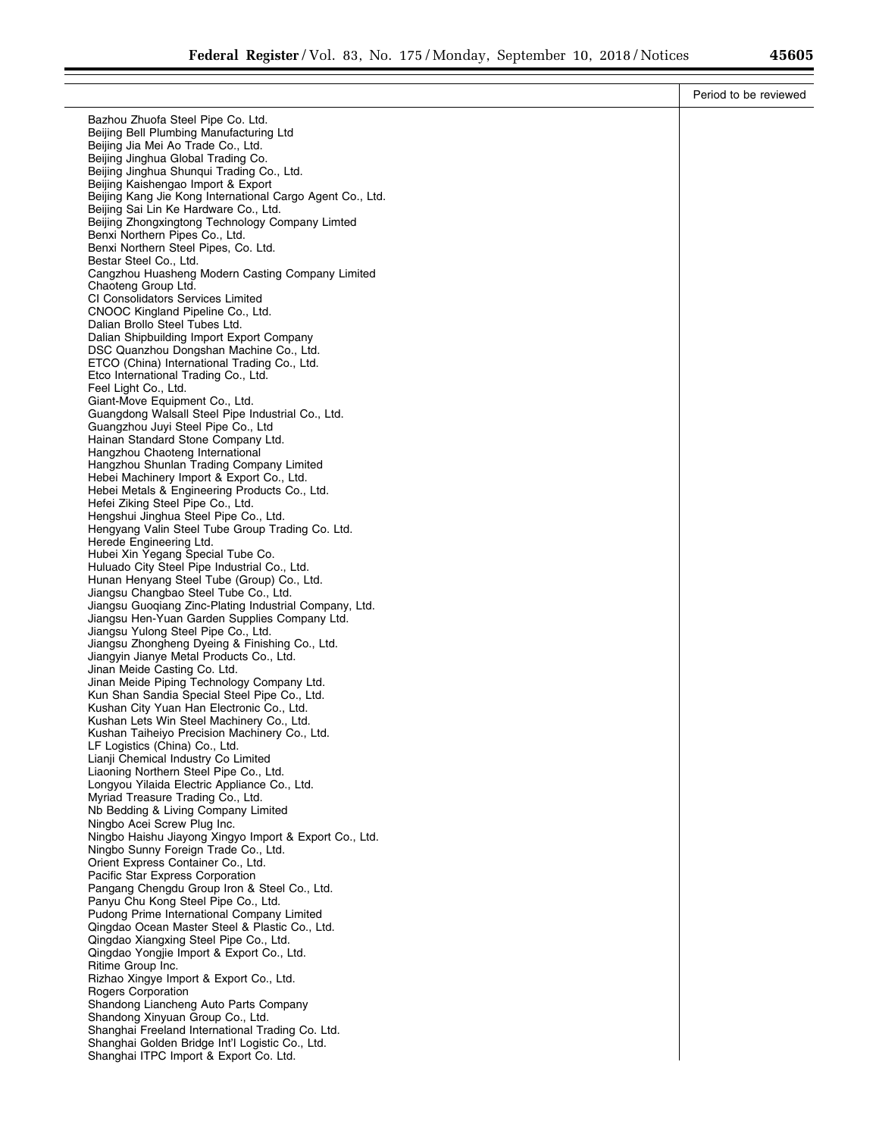|                                                                                                 | Period to be reviewed |
|-------------------------------------------------------------------------------------------------|-----------------------|
| Bazhou Zhuofa Steel Pipe Co. Ltd.                                                               |                       |
| Beijing Bell Plumbing Manufacturing Ltd                                                         |                       |
| Beijing Jia Mei Ao Trade Co., Ltd.                                                              |                       |
| Beijing Jinghua Global Trading Co.                                                              |                       |
| Beijing Jinghua Shungui Trading Co., Ltd.                                                       |                       |
| Beijing Kaishengao Import & Export<br>Beijing Kang Jie Kong International Cargo Agent Co., Ltd. |                       |
| Beijing Sai Lin Ke Hardware Co., Ltd.                                                           |                       |
| Beijing Zhongxingtong Technology Company Limted                                                 |                       |
| Benxi Northern Pipes Co., Ltd.                                                                  |                       |
| Benxi Northern Steel Pipes, Co. Ltd.                                                            |                       |
| Bestar Steel Co., Ltd.<br>Cangzhou Huasheng Modern Casting Company Limited                      |                       |
| Chaoteng Group Ltd.                                                                             |                       |
| CI Consolidators Services Limited                                                               |                       |
| CNOOC Kingland Pipeline Co., Ltd.                                                               |                       |
| Dalian Brollo Steel Tubes Ltd.                                                                  |                       |
| Dalian Shipbuilding Import Export Company                                                       |                       |
| DSC Quanzhou Dongshan Machine Co., Ltd.<br>ETCO (China) International Trading Co., Ltd.         |                       |
| Etco International Trading Co., Ltd.                                                            |                       |
| Feel Light Co., Ltd.                                                                            |                       |
| Giant-Move Equipment Co., Ltd.                                                                  |                       |
| Guangdong Walsall Steel Pipe Industrial Co., Ltd.                                               |                       |
| Guangzhou Juyi Steel Pipe Co., Ltd<br>Hainan Standard Stone Company Ltd.                        |                       |
| Hangzhou Chaoteng International                                                                 |                       |
| Hangzhou Shunlan Trading Company Limited                                                        |                       |
| Hebei Machinery Import & Export Co., Ltd.                                                       |                       |
| Hebei Metals & Engineering Products Co., Ltd.                                                   |                       |
| Hefei Ziking Steel Pipe Co., Ltd.<br>Hengshui Jinghua Steel Pipe Co., Ltd.                      |                       |
| Hengyang Valin Steel Tube Group Trading Co. Ltd.                                                |                       |
| Herede Engineering Ltd.                                                                         |                       |
| Hubei Xin Yegang Special Tube Co.                                                               |                       |
| Huluado City Steel Pipe Industrial Co., Ltd.                                                    |                       |
| Hunan Henyang Steel Tube (Group) Co., Ltd.<br>Jiangsu Changbao Steel Tube Co., Ltd.             |                       |
| Jiangsu Guoqiang Zinc-Plating Industrial Company, Ltd.                                          |                       |
| Jiangsu Hen-Yuan Garden Supplies Company Ltd.                                                   |                       |
| Jiangsu Yulong Steel Pipe Co., Ltd.                                                             |                       |
| Jiangsu Zhongheng Dyeing & Finishing Co., Ltd.                                                  |                       |
| Jiangyin Jianye Metal Products Co., Ltd.<br>Jinan Meide Casting Co. Ltd.                        |                       |
| Jinan Meide Piping Technology Company Ltd.                                                      |                       |
| Kun Shan Sandia Special Steel Pipe Co., Ltd.                                                    |                       |
| Kushan City Yuan Han Electronic Co., Ltd.                                                       |                       |
| Kushan Lets Win Steel Machinery Co., Ltd.                                                       |                       |
| Kushan Taiheiyo Precision Machinery Co., Ltd.<br>LF Logistics (China) Co., Ltd.                 |                       |
| Lianji Chemical Industry Co Limited                                                             |                       |
| Liaoning Northern Steel Pipe Co., Ltd.                                                          |                       |
| Longyou Yilaida Electric Appliance Co., Ltd.                                                    |                       |
| Myriad Treasure Trading Co., Ltd.                                                               |                       |
| Nb Bedding & Living Company Limited                                                             |                       |
| Ningbo Acei Screw Plug Inc.<br>Ningbo Haishu Jiayong Xingyo Import & Export Co., Ltd.           |                       |
| Ningbo Sunny Foreign Trade Co., Ltd.                                                            |                       |
| Orient Express Container Co., Ltd.                                                              |                       |
| Pacific Star Express Corporation                                                                |                       |
| Pangang Chengdu Group Iron & Steel Co., Ltd.                                                    |                       |
| Panyu Chu Kong Steel Pipe Co., Ltd.<br>Pudong Prime International Company Limited               |                       |
| Qingdao Ocean Master Steel & Plastic Co., Ltd.                                                  |                       |
| Qingdao Xiangxing Steel Pipe Co., Ltd.                                                          |                       |
| Qingdao Yongjie Import & Export Co., Ltd.                                                       |                       |
| Ritime Group Inc.                                                                               |                       |
| Rizhao Xingye Import & Export Co., Ltd.                                                         |                       |
| <b>Rogers Corporation</b><br>Shandong Liancheng Auto Parts Company                              |                       |
| Shandong Xinyuan Group Co., Ltd.                                                                |                       |
| Shanghai Freeland International Trading Co. Ltd.                                                |                       |
| Shanghai Golden Bridge Int'l Logistic Co., Ltd.                                                 |                       |
| Shanghai ITPC Import & Export Co. Ltd.                                                          |                       |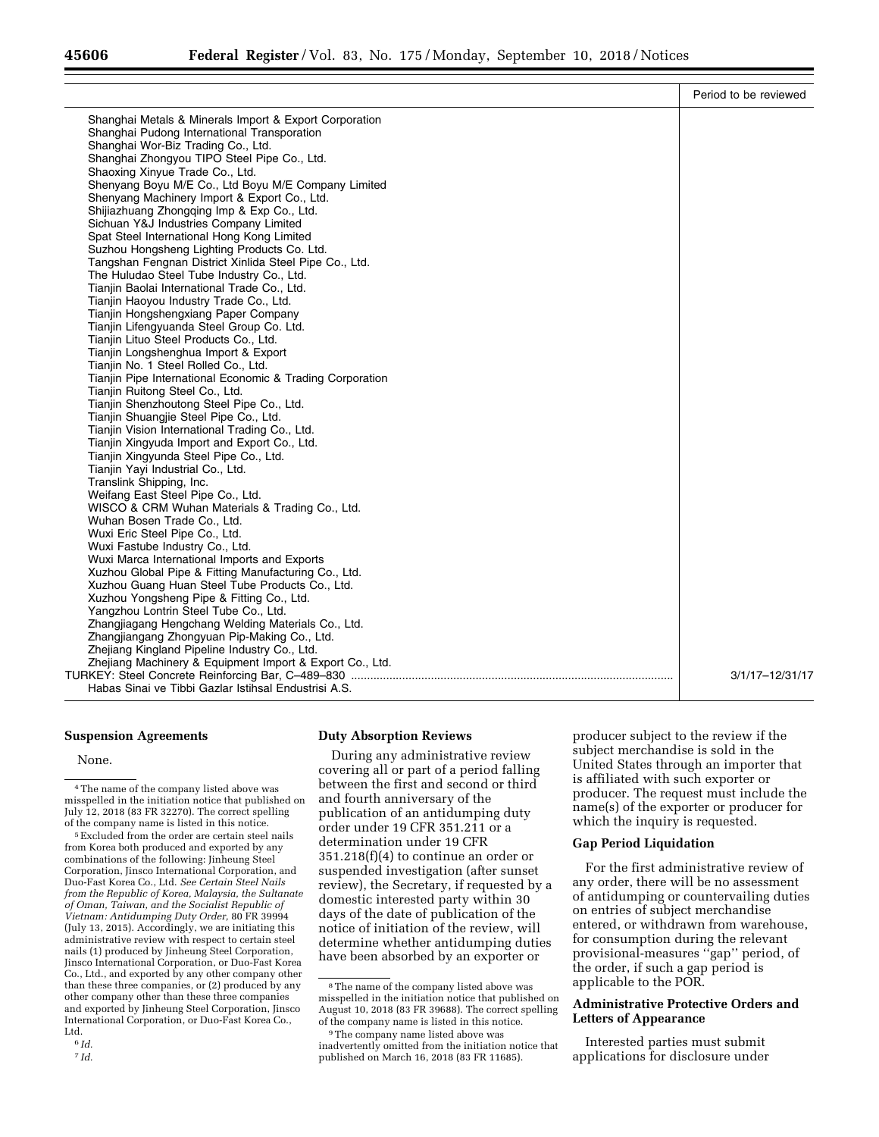|                                                                                 | Period to be reviewed |
|---------------------------------------------------------------------------------|-----------------------|
| Shanghai Metals & Minerals Import & Export Corporation                          |                       |
| Shanghai Pudong International Transporation                                     |                       |
| Shanghai Wor-Biz Trading Co., Ltd.                                              |                       |
| Shanghai Zhongyou TIPO Steel Pipe Co., Ltd.                                     |                       |
| Shaoxing Xinyue Trade Co., Ltd.                                                 |                       |
| Shenyang Boyu M/E Co., Ltd Boyu M/E Company Limited                             |                       |
| Shenyang Machinery Import & Export Co., Ltd.                                    |                       |
| Shijiazhuang Zhongqing Imp & Exp Co., Ltd.                                      |                       |
| Sichuan Y&J Industries Company Limited                                          |                       |
| Spat Steel International Hong Kong Limited                                      |                       |
| Suzhou Hongsheng Lighting Products Co. Ltd.                                     |                       |
| Tangshan Fengnan District Xinlida Steel Pipe Co., Ltd.                          |                       |
| The Huludao Steel Tube Industry Co., Ltd.                                       |                       |
| Tianjin Baolai International Trade Co., Ltd.                                    |                       |
| Tianjin Haoyou Industry Trade Co., Ltd.                                         |                       |
| Tianjin Hongshengxiang Paper Company                                            |                       |
| Tianjin Lifengyuanda Steel Group Co. Ltd.                                       |                       |
| Tianjin Lituo Steel Products Co., Ltd.                                          |                       |
| Tianjin Longshenghua Import & Export                                            |                       |
| Tianjin No. 1 Steel Rolled Co., Ltd.                                            |                       |
| Tianjin Pipe International Economic & Trading Corporation                       |                       |
| Tianjin Ruitong Steel Co., Ltd.                                                 |                       |
| Tianjin Shenzhoutong Steel Pipe Co., Ltd.                                       |                       |
| Tianjin Shuangjie Steel Pipe Co., Ltd.                                          |                       |
| Tianjin Vision International Trading Co., Ltd.                                  |                       |
| Tianjin Xingyuda Import and Export Co., Ltd.                                    |                       |
| Tianjin Xingyunda Steel Pipe Co., Ltd.                                          |                       |
| Tianjin Yayi Industrial Co., Ltd.                                               |                       |
| Translink Shipping, Inc.                                                        |                       |
| Weifang East Steel Pipe Co., Ltd.                                               |                       |
| WISCO & CRM Wuhan Materials & Trading Co., Ltd.                                 |                       |
| Wuhan Bosen Trade Co., Ltd.                                                     |                       |
| Wuxi Eric Steel Pipe Co., Ltd.                                                  |                       |
| Wuxi Fastube Industry Co., Ltd.<br>Wuxi Marca International Imports and Exports |                       |
| Xuzhou Global Pipe & Fitting Manufacturing Co., Ltd.                            |                       |
| Xuzhou Guang Huan Steel Tube Products Co., Ltd.                                 |                       |
| Xuzhou Yongsheng Pipe & Fitting Co., Ltd.                                       |                       |
| Yangzhou Lontrin Steel Tube Co., Ltd.                                           |                       |
| Zhangjiagang Hengchang Welding Materials Co., Ltd.                              |                       |
| Zhangjiangang Zhongyuan Pip-Making Co., Ltd.                                    |                       |
| Zhejiang Kingland Pipeline Industry Co., Ltd.                                   |                       |
| Zhejiang Machinery & Equipment Import & Export Co., Ltd.                        |                       |
|                                                                                 | 3/1/17-12/31/17       |
| Habas Sinai ve Tibbi Gazlar Istihsal Endustrisi A.S.                            |                       |

# **Suspension Agreements**

#### None.

5Excluded from the order are certain steel nails from Korea both produced and exported by any combinations of the following: Jinheung Steel Corporation, Jinsco International Corporation, and Duo-Fast Korea Co., Ltd. *See Certain Steel Nails from the Republic of Korea, Malaysia, the Sultanate of Oman, Taiwan, and the Socialist Republic of Vietnam: Antidumping Duty Order,* 80 FR 39994 (July 13, 2015). Accordingly, we are initiating this administrative review with respect to certain steel nails (1) produced by Jinheung Steel Corporation, Jinsco International Corporation, or Duo-Fast Korea Co., Ltd., and exported by any other company other than these three companies, or (2) produced by any other company other than these three companies and exported by Jinheung Steel Corporation, Jinsco International Corporation, or Duo-Fast Korea Co., Ltd.

# **Duty Absorption Reviews**

During any administrative review covering all or part of a period falling between the first and second or third and fourth anniversary of the publication of an antidumping duty order under 19 CFR 351.211 or a determination under 19 CFR 351.218(f)(4) to continue an order or suspended investigation (after sunset review), the Secretary, if requested by a domestic interested party within 30 days of the date of publication of the notice of initiation of the review, will determine whether antidumping duties have been absorbed by an exporter or

producer subject to the review if the subject merchandise is sold in the United States through an importer that is affiliated with such exporter or producer. The request must include the name(s) of the exporter or producer for which the inquiry is requested.

## **Gap Period Liquidation**

For the first administrative review of any order, there will be no assessment of antidumping or countervailing duties on entries of subject merchandise entered, or withdrawn from warehouse, for consumption during the relevant provisional-measures ''gap'' period, of the order, if such a gap period is applicable to the POR.

# **Administrative Protective Orders and Letters of Appearance**

Interested parties must submit applications for disclosure under

<sup>4</sup>The name of the company listed above was misspelled in the initiation notice that published on July 12, 2018 (83 FR 32270). The correct spelling of the company name is listed in this notice.

<sup>6</sup> *Id.* 

<sup>7</sup> *Id.* 

<sup>8</sup>The name of the company listed above was misspelled in the initiation notice that published on August 10, 2018 (83 FR 39688). The correct spelling of the company name is listed in this notice.

<sup>&</sup>lt;sup>9</sup>The company name listed above was inadvertently omitted from the initiation notice that published on March 16, 2018 (83 FR 11685).